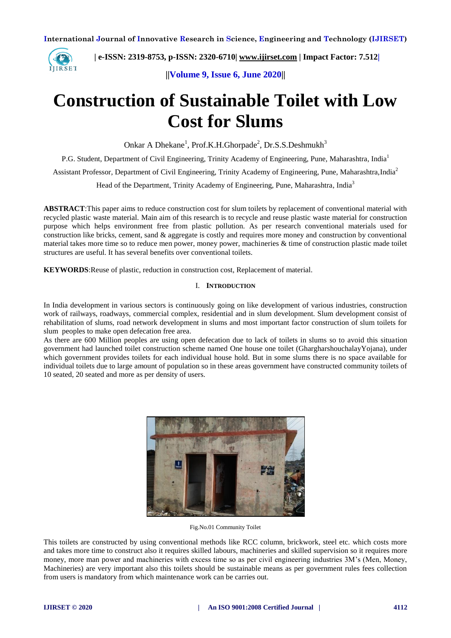

 **| e-ISSN: 2319-8753, p-ISSN: 2320-6710[| www.ijirset.com](http://www.ijirset.com/) | Impact Factor: 7.512|**

**||Volume 9, Issue 6, June 2020||** 

# **Construction of Sustainable Toilet with Low Cost for Slums**

Onkar A Dhekane<sup>1</sup>, Prof.K.H.Ghorpade<sup>2</sup>, Dr.S.S.Deshmukh<sup>3</sup>

P.G. Student, Department of Civil Engineering, Trinity Academy of Engineering, Pune, Maharashtra, India<sup>1</sup>

Assistant Professor, Department of Civil Engineering, Trinity Academy of Engineering, Pune, Maharashtra,India<sup>2</sup>

Head of the Department, Trinity Academy of Engineering, Pune, Maharashtra, India<sup>3</sup>

**ABSTRACT**:This paper aims to reduce construction cost for slum toilets by replacement of conventional material with recycled plastic waste material*.* Main aim of this research is to recycle and reuse plastic waste material for construction purpose which helps environment free from plastic pollution. As per research conventional materials used for construction like bricks, cement, sand & aggregate is costly and requires more money and construction by conventional material takes more time so to reduce men power, money power, machineries & time of construction plastic made toilet structures are useful. It has several benefits over conventional toilets.

**KEYWORDS**:Reuse of plastic, reduction in construction cost, Replacement of material.

#### I. **INTRODUCTION**

In India development in various sectors is continuously going on like development of various industries, construction work of railways, roadways, commercial complex, residential and in slum development. Slum development consist of rehabilitation of slums, road network development in slums and most important factor construction of slum toilets for slum peoples to make open defecation free area.

As there are 600 Million peoples are using open defecation due to lack of toilets in slums so to avoid this situation government had launched toilet construction scheme named One house one toilet (GhargharshouchalayYojana), under which government provides toilets for each individual house hold. But in some slums there is no space available for individual toilets due to large amount of population so in these areas government have constructed community toilets of 10 seated, 20 seated and more as per density of users.



Fig.No.01 Community Toilet

This toilets are constructed by using conventional methods like RCC column, brickwork, steel etc. which costs more and takes more time to construct also it requires skilled labours, machineries and skilled supervision so it requires more money, more man power and machineries with excess time so as per civil engineering industries 3M's (Men, Money, Machineries) are very important also this toilets should be sustainable means as per government rules fees collection from users is mandatory from which maintenance work can be carries out.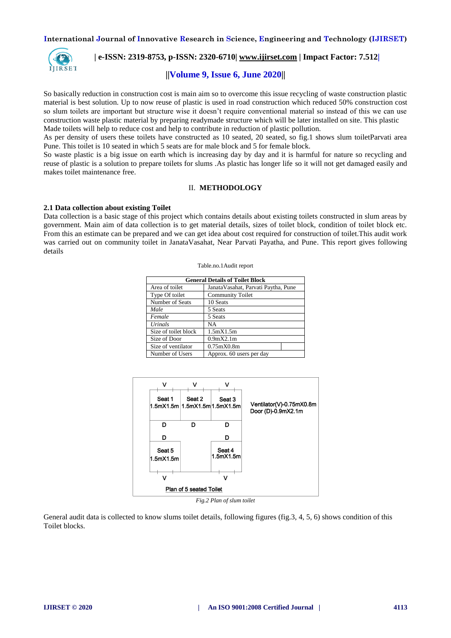

## **| e-ISSN: 2319-8753, p-ISSN: 2320-6710[| www.ijirset.com](http://www.ijirset.com/) | Impact Factor: 7.512|**

### **||Volume 9, Issue 6, June 2020||**

So basically reduction in construction cost is main aim so to overcome this issue recycling of waste construction plastic material is best solution. Up to now reuse of plastic is used in road construction which reduced 50% construction cost so slum toilets are important but structure wise it doesn't require conventional material so instead of this we can use construction waste plastic material by preparing readymade structure which will be later installed on site. This plastic Made toilets will help to reduce cost and help to contribute in reduction of plastic pollution.

As per density of users these toilets have constructed as 10 seated, 20 seated, so fig.1 shows slum toiletParvati area Pune. This toilet is 10 seated in which 5 seats are for male block and 5 for female block.

So waste plastic is a big issue on earth which is increasing day by day and it is harmful for nature so recycling and reuse of plastic is a solution to prepare toilets for slums .As plastic has longer life so it will not get damaged easily and makes toilet maintenance free.

### II. **METHODOLOGY**

#### **2.1 Data collection about existing Toilet**

Data collection is a basic stage of this project which contains details about existing toilets constructed in slum areas by government. Main aim of data collection is to get material details, sizes of toilet block, condition of toilet block etc. From this an estimate can be prepared and we can get idea about cost required for construction of toilet.This audit work was carried out on community toilet in JanataVasahat, Near Parvati Payatha, and Pune. This report gives following details

| <b>General Details of Toilet Block</b> |                                      |  |  |  |  |
|----------------------------------------|--------------------------------------|--|--|--|--|
| Area of toilet                         | Janata Vasahat, Parvati Paytha, Pune |  |  |  |  |
| Type Of toilet                         | <b>Community Toilet</b>              |  |  |  |  |
| Number of Seats                        | 10 Seats                             |  |  |  |  |
| Male                                   | 5 Seats                              |  |  |  |  |
| Female                                 | 5 Seats                              |  |  |  |  |
| Urinals                                | <b>NA</b>                            |  |  |  |  |
| Size of toilet block                   | 1.5mX1.5m                            |  |  |  |  |
| Size of Door                           | 0.9 <sub>m</sub> X2.1 <sub>m</sub>   |  |  |  |  |
| Size of ventilator                     | $0.75$ m $X0.8$ m                    |  |  |  |  |
| Number of Users                        | Approx. 60 users per day             |  |  |  |  |



*Fig.2 Plan of slum toilet*

General audit data is collected to know slums toilet details, following figures (fig.3, 4, 5, 6) shows condition of this Toilet blocks.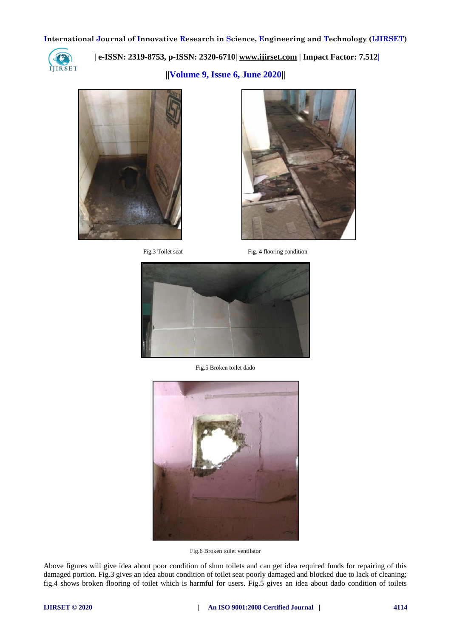

 **| e-ISSN: 2319-8753, p-ISSN: 2320-6710[| www.ijirset.com](http://www.ijirset.com/) | Impact Factor: 7.512|**

**||Volume 9, Issue 6, June 2020||** 





Fig. 3 Toilet seat Fig. 4 flooring condition



Fig.5 Broken toilet dado



Fig.6 Broken toilet ventilator

Above figures will give idea about poor condition of slum toilets and can get idea required funds for repairing of this damaged portion. Fig.3 gives an idea about condition of toilet seat poorly damaged and blocked due to lack of cleaning; fig.4 shows broken flooring of toilet which is harmful for users. Fig.5 gives an idea about dado condition of toilets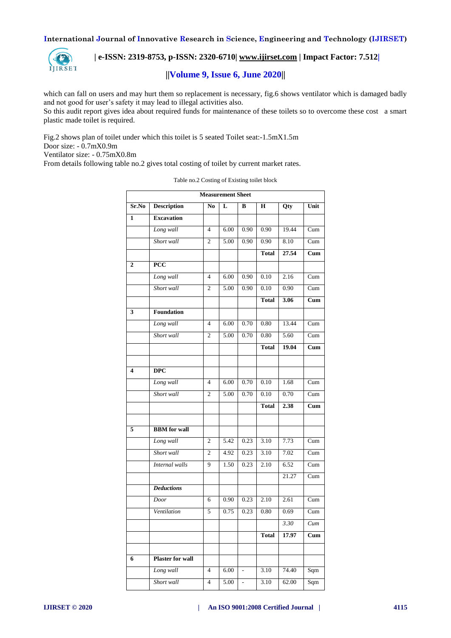

 **| e-ISSN: 2319-8753, p-ISSN: 2320-6710[| www.ijirset.com](http://www.ijirset.com/) | Impact Factor: 7.512|**

# **||Volume 9, Issue 6, June 2020||**

which can fall on users and may hurt them so replacement is necessary, fig.6 shows ventilator which is damaged badly and not good for user's safety it may lead to illegal activities also. So this audit report gives idea about required funds for maintenance of these toilets so to overcome these cost a smart

plastic made toilet is required.

Fig.2 shows plan of toilet under which this toilet is 5 seated Toilet seat:-1.5mX1.5m Door size: - 0.7mX0.9m

Ventilator size: - 0.75mX0.8m

From details following table no.2 gives total costing of toilet by current market rates.

| <b>Measurement Sheet</b> |                         |                |                         |               |              |       |      |
|--------------------------|-------------------------|----------------|-------------------------|---------------|--------------|-------|------|
| Sr.No                    | <b>Description</b>      | N <sub>0</sub> | $\overline{\mathbf{L}}$ | B             | $\bf H$      | Qty   | Unit |
| $\mathbf{1}$             | <b>Excavation</b>       |                |                         |               |              |       |      |
|                          | Long wall               | $\overline{4}$ | 6.00                    | 0.90          | 0.90         | 19.44 | Cum  |
|                          | Short wall              | $\overline{2}$ | 5.00                    | 0.90          | 0.90         | 8.10  | Cum  |
|                          |                         |                |                         |               | <b>Total</b> | 27.54 | Cum  |
| $\overline{2}$           | $\overline{PCC}$        |                |                         |               |              |       |      |
|                          | Long wall               | $\overline{4}$ | 6.00                    | 0.90          | 0.10         | 2.16  | Cum  |
|                          | Short wall              | $\mathfrak{2}$ | 5.00                    | 0.90          | 0.10         | 0.90  | Cum  |
|                          |                         |                |                         |               | <b>Total</b> | 3.06  | Cum  |
| 3                        | Foundation              |                |                         |               |              |       |      |
|                          | Long wall               | $\overline{4}$ | 6.00                    | 0.70          | 0.80         | 13.44 | Cum  |
|                          | Short wall              | $\overline{c}$ | 5.00                    | 0.70          | 0.80         | 5.60  | Cum  |
|                          |                         |                |                         |               | <b>Total</b> | 19.04 | Cum  |
|                          |                         |                |                         |               |              |       |      |
| 4                        | <b>DPC</b>              |                |                         |               |              |       |      |
|                          | Long wall               | $\overline{4}$ | 6.00                    | 0.70          | 0.10         | 1.68  |      |
|                          |                         |                |                         |               |              |       | Cum  |
|                          | Short wall              | $\overline{c}$ | 5.00                    | 0.70          | 0.10         | 0.70  | Cum  |
|                          |                         |                |                         |               | <b>Total</b> | 2.38  | Cum  |
|                          |                         |                |                         |               |              |       |      |
| $\overline{5}$           | <b>BBM</b> for wall     |                |                         |               |              |       |      |
|                          | Long wall               | $\mathfrak{2}$ | 5.42                    | 0.23          | 3.10         | 7.73  | Cum  |
|                          | Short wall              | $\overline{c}$ | 4.92                    | 0.23          | 3.10         | 7.02  | Cum  |
|                          | <b>Internal</b> walls   | $\overline{9}$ | 1.50                    | 0.23          | 2.10         | 6.52  | Cum  |
|                          |                         |                |                         |               |              | 21.27 | Cum  |
|                          | <b>Deductions</b>       |                |                         |               |              |       |      |
|                          | Door                    | 6              | 0.90                    | 0.23          | 2.10         | 2.61  | Cum  |
|                          | Ventilation             | 5              | 0.75                    | 0.23          | 0.80         | 0.69  | Cum  |
|                          |                         |                |                         |               |              | 3.30  | Cum  |
|                          |                         |                |                         |               | <b>Total</b> | 17.97 | Cum  |
|                          |                         |                |                         |               |              |       |      |
| 6                        | <b>Plaster for wall</b> |                |                         |               |              |       |      |
|                          | Long wall               | $\overline{4}$ | 6.00                    | $\frac{1}{2}$ | 3.10         | 74.40 | Sqm  |
|                          | Short wall              | $\overline{4}$ | 5.00                    | ÷.            | 3.10         | 62.00 | Sqm  |

#### Table no.2 Costing of Existing toilet block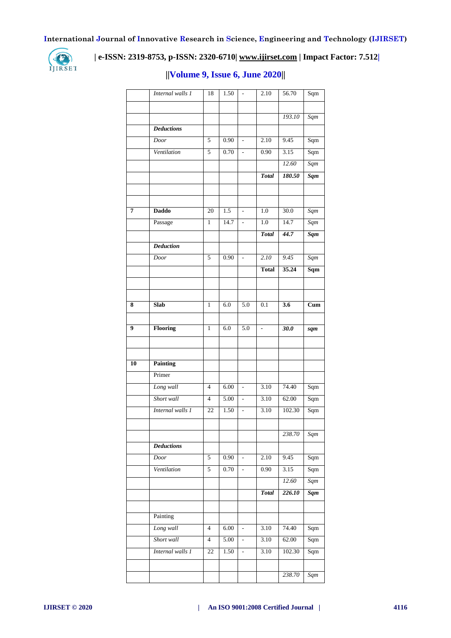

# **| e-ISSN: 2319-8753, p-ISSN: 2320-6710[| www.ijirset.com](http://www.ijirset.com/) | Impact Factor: 7.512|**

|    | Internal walls 1  | 18              | 1.50 |                          | 2.10             | 56.70            | Sqm                       |
|----|-------------------|-----------------|------|--------------------------|------------------|------------------|---------------------------|
|    |                   |                 |      |                          |                  |                  |                           |
|    |                   |                 |      |                          |                  | 193.10           | Sqm                       |
|    | <b>Deductions</b> |                 |      |                          |                  |                  |                           |
|    | Door              | 5               | 0.90 | $\overline{\phantom{a}}$ | 2.10             | 9.45             | Sqm                       |
|    | Ventilation       | 5               | 0.70 | $\overline{a}$           | 0.90             | 3.15             | Sqm                       |
|    |                   |                 |      |                          |                  | 12.60            | Sqm                       |
|    |                   |                 |      |                          | <b>Total</b>     | 180.50           | $S$ <i>qm</i>             |
|    |                   |                 |      |                          |                  |                  |                           |
|    |                   |                 |      |                          |                  |                  |                           |
| 7  | <b>Daddo</b>      | 20              | 1.5  | ÷,                       | 1.0              | 30.0             | Sqm                       |
|    | Passage           | $\mathbf{1}$    | 14.7 | $\frac{1}{2}$            | 1.0              | 14.7             | Sqm                       |
|    |                   |                 |      |                          | <b>Total</b>     | 44.7             | <b>Sqm</b>                |
|    | <b>Deduction</b>  |                 |      |                          |                  |                  |                           |
|    | Door              | 5               | 0.90 | ÷,                       | 2.10             | 9.45             | $\overline{Sqm}$          |
|    |                   |                 |      |                          | <b>Total</b>     | 35.24            | Sqm                       |
|    |                   |                 |      |                          |                  |                  |                           |
|    |                   |                 |      |                          |                  |                  |                           |
| 8  | Slab              | $\mathbf{1}$    | 6.0  | $\overline{5.0}$         | $\overline{0.1}$ | $\overline{3.6}$ | $\overline{\mathrm{Cum}}$ |
|    |                   |                 |      |                          |                  |                  |                           |
| 9  | Flooring          | $\mathbf{1}$    | 6.0  | 5.0                      | $\mathbb{L}$     | 30.0             | sqm                       |
|    |                   |                 |      |                          |                  |                  |                           |
|    |                   |                 |      |                          |                  |                  |                           |
| 10 | <b>Painting</b>   |                 |      |                          |                  |                  |                           |
|    | Primer            |                 |      |                          |                  |                  |                           |
|    | Long wall         | $\overline{4}$  | 6.00 | $\overline{a}$           | 3.10             | 74.40            | Sqm                       |
|    | Short wall        | $\overline{4}$  | 5.00 | $\overline{a}$           | 3.10             | 62.00            | Sqm                       |
|    | Internal walls 1  | $\overline{22}$ | 1.50 | $\overline{\phantom{a}}$ | 3.10             | 102.30           | Sqm                       |
|    |                   |                 |      |                          |                  |                  |                           |
|    |                   |                 |      |                          |                  | 238.70           | Sqm                       |
|    | <b>Deductions</b> |                 |      |                          |                  |                  |                           |
|    | Door              | 5               | 0.90 | $\overline{\phantom{a}}$ | 2.10             | 9.45             | Sqm                       |
|    | Ventilation       | 5               | 0.70 | ÷,                       | 0.90             | 3.15             | Sqm                       |
|    |                   |                 |      |                          |                  | 12.60            | Sqm                       |
|    |                   |                 |      |                          | <b>Total</b>     | 226.10           | <b>Sqm</b>                |
|    |                   |                 |      |                          |                  |                  |                           |
|    | Painting          |                 |      |                          |                  |                  |                           |
|    | Long wall         | $\overline{4}$  | 6.00 | $\Box$                   | 3.10             | 74.40            | Sqm                       |
|    | Short wall        | $\overline{4}$  | 5.00 | $\overline{\phantom{0}}$ | 3.10             | 62.00            | Sqm                       |
|    | Internal walls 1  | 22              | 1.50 | $\frac{1}{2}$            | 3.10             | 102.30           | Sqm                       |
|    |                   |                 |      |                          |                  |                  |                           |
|    |                   |                 |      |                          |                  | 238.70           | Sqm                       |

# **||Volume 9, Issue 6, June 2020||**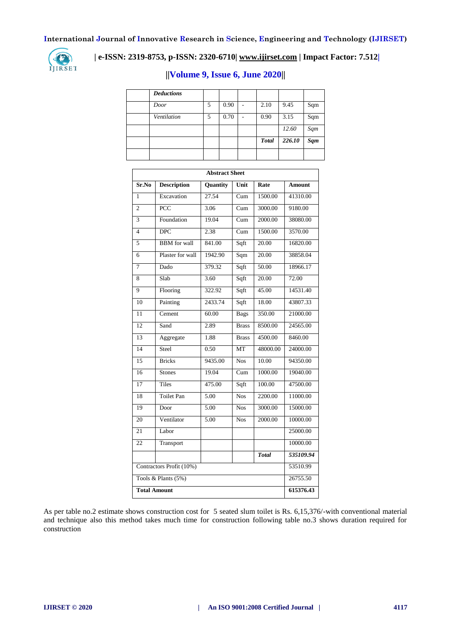

# **| e-ISSN: 2319-8753, p-ISSN: 2320-6710[| www.ijirset.com](http://www.ijirset.com/) | Impact Factor: 7.512|**

| <b>Deductions</b> |   |      |   |              |        |            |
|-------------------|---|------|---|--------------|--------|------------|
| Door              | 5 | 0.90 | - | 2.10         | 9.45   | Sqm        |
| Ventilation       | 5 | 0.70 |   | 0.90         | 3.15   | Sqm        |
|                   |   |      |   |              | 12.60  | Sqm        |
|                   |   |      |   | <b>Total</b> | 226.10 | <b>Sqm</b> |
|                   |   |      |   |              |        |            |

# **||Volume 9, Issue 6, June 2020||**

| <b>Abstract Sheet</b>    |                     |          |              |              |           |  |  |  |
|--------------------------|---------------------|----------|--------------|--------------|-----------|--|--|--|
| Sr.No                    | <b>Description</b>  | Quantity | Unit         | Rate         | Amount    |  |  |  |
| 1                        | Excavation          | 27.54    | Cum          | 1500.00      | 41310.00  |  |  |  |
| $\overline{2}$           | PCC                 | 3.06     | Cum          | 3000.00      | 9180.00   |  |  |  |
| $\overline{3}$           | Foundation          | 19.04    | Cum          | 2000.00      | 38080.00  |  |  |  |
| $\overline{4}$           | <b>DPC</b>          | 2.38     | Cum          | 1500.00      | 3570.00   |  |  |  |
| 5                        | <b>BBM</b> for wall | 841.00   | Sqft         | 20.00        | 16820.00  |  |  |  |
| 6                        | Plaster for wall    | 1942.90  | Sqm          | 20.00        | 38858.04  |  |  |  |
| 7                        | Dado                | 379.32   | Sqft         | 50.00        | 18966.17  |  |  |  |
| 8                        | Slab                | 3.60     | Sqft         | 20.00        | 72.00     |  |  |  |
| 9                        | Flooring            | 322.92   | Sqft         | 45.00        | 14531.40  |  |  |  |
| 10                       | Painting            | 2433.74  | Sqft         | 18.00        | 43807.33  |  |  |  |
| 11                       | Cement              | 60.00    | <b>Bags</b>  | 350.00       | 21000.00  |  |  |  |
| 12                       | Sand                | 2.89     | <b>Brass</b> | 8500.00      | 24565.00  |  |  |  |
| 13                       | Aggregate           | 1.88     | <b>Brass</b> | 4500.00      | 8460.00   |  |  |  |
| $\overline{14}$          | Steel               | 0.50     | <b>MT</b>    | 48000.00     | 24000.00  |  |  |  |
| $\overline{15}$          | <b>Bricks</b>       | 9435.00  | <b>Nos</b>   | 10.00        | 94350.00  |  |  |  |
| 16                       | <b>Stones</b>       | 19.04    | Cum          | 1000.00      | 19040.00  |  |  |  |
| 17                       | <b>Tiles</b>        | 475.00   | Sqft         | 100.00       | 47500.00  |  |  |  |
| 18                       | <b>Toilet Pan</b>   | 5.00     | <b>Nos</b>   | 2200.00      | 11000.00  |  |  |  |
| 19                       | Door                | 5.00     | <b>Nos</b>   | 3000.00      | 15000.00  |  |  |  |
| 20                       | Ventilator          | 5.00     | <b>Nos</b>   | 2000.00      | 10000.00  |  |  |  |
| 21                       | Labor               |          |              |              | 25000.00  |  |  |  |
| $\overline{22}$          | Transport           |          |              |              | 10000.00  |  |  |  |
|                          |                     |          |              | <b>Total</b> | 535109.94 |  |  |  |
| Contractors Profit (10%) | 53510.99            |          |              |              |           |  |  |  |
| Tools & Plants (5%)      | 26755.50            |          |              |              |           |  |  |  |
| <b>Total Amount</b>      | 615376.43           |          |              |              |           |  |  |  |

As per table no.2 estimate shows construction cost for 5 seated slum toilet is Rs. 6,15,376/-with conventional material and technique also this method takes much time for construction following table no.3 shows duration required for construction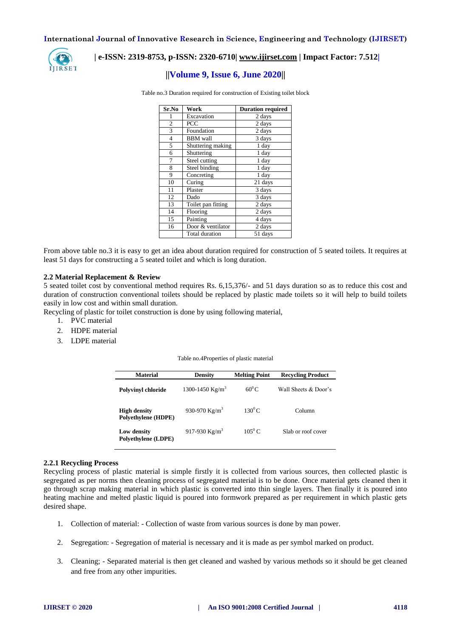

## **| e-ISSN: 2319-8753, p-ISSN: 2320-6710[| www.ijirset.com](http://www.ijirset.com/) | Impact Factor: 7.512|**

# **||Volume 9, Issue 6, June 2020||**

Table no.3 Duration required for construction of Existing toilet block

| Sr.No          | Work               | <b>Duration required</b> |  |  |
|----------------|--------------------|--------------------------|--|--|
|                | Excavation         | 2 days                   |  |  |
| $\overline{c}$ | PCC                | 2 days                   |  |  |
| 3              | Foundation         | 2 days                   |  |  |
| $\overline{4}$ | <b>BBM</b> wall    | 3 days                   |  |  |
| 5              | Shuttering making  | 1 day                    |  |  |
| 6              | Shuttering         | 1 day                    |  |  |
| 7              | Steel cutting      | 1 day                    |  |  |
| 8              | Steel binding      | 1 day                    |  |  |
| 9              | Concreting         | 1 day                    |  |  |
| 10             | Curing             | 21 days                  |  |  |
| 11             | Plaster            | 3 days                   |  |  |
| 12             | Dado               | 3 days                   |  |  |
| 13             | Toilet pan fitting | 2 days                   |  |  |
| 14             | Flooring           | 2 days                   |  |  |
| 15             | Painting           | 4 days                   |  |  |
| 16             | Door & ventilator  | 2 days                   |  |  |
|                | Total duration     | 51 days                  |  |  |

From above table no.3 it is easy to get an idea about duration required for construction of 5 seated toilets. It requires at least 51 days for constructing a 5 seated toilet and which is long duration.

#### **2.2 Material Replacement & Review**

5 seated toilet cost by conventional method requires Rs. 6,15,376/- and 51 days duration so as to reduce this cost and duration of construction conventional toilets should be replaced by plastic made toilets so it will help to build toilets easily in low cost and within small duration.

Recycling of plastic for toilet construction is done by using following material,

- 1. PVC material
- 2. HDPE material
- 3. LDPE material

Table no.4Properties of plastic material

| <b>Material</b>                            | <b>Density</b>    | <b>Melting Point</b> | <b>Recycling Product</b> |
|--------------------------------------------|-------------------|----------------------|--------------------------|
| <b>Polyvinyl chloride</b>                  | 1300-1450 $Kg/m3$ | $60^0$ C             | Wall Sheets & Door's     |
| <b>High density</b><br>Polyethylene (HDPE) | 930-970 $Kg/m^3$  | $130^0C$             | Column                   |
| Low density<br>Polyethylene (LDPE)         | 917-930 $Kg/m^3$  | $105^{0}$ C.         | Slab or roof cover       |

#### **2.2.1 Recycling Process**

Recycling process of plastic material is simple firstly it is collected from various sources, then collected plastic is segregated as per norms then cleaning process of segregated material is to be done. Once material gets cleaned then it go through scrap making material in which plastic is converted into thin single layers. Then finally it is poured into heating machine and melted plastic liquid is poured into formwork prepared as per requirement in which plastic gets desired shape.

- 1. Collection of material: Collection of waste from various sources is done by man power.
- 2. Segregation: Segregation of material is necessary and it is made as per symbol marked on product.
- 3. Cleaning; Separated material is then get cleaned and washed by various methods so it should be get cleaned and free from any other impurities.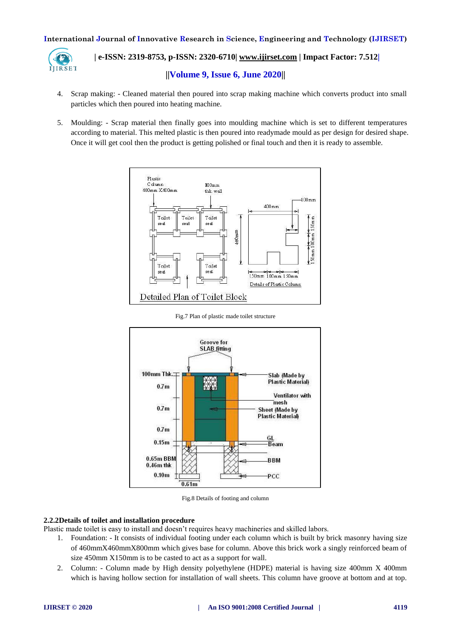

# **| e-ISSN: 2319-8753, p-ISSN: 2320-6710[| www.ijirset.com](http://www.ijirset.com/) | Impact Factor: 7.512| ||Volume 9, Issue 6, June 2020||**

- 4. Scrap making: Cleaned material then poured into scrap making machine which converts product into small particles which then poured into heating machine.
- 5. Moulding: Scrap material then finally goes into moulding machine which is set to different temperatures according to material. This melted plastic is then poured into readymade mould as per design for desired shape. Once it will get cool then the product is getting polished or final touch and then it is ready to assemble.



Fig.7 Plan of plastic made toilet structure



Fig.8 Details of footing and column

#### **2.2.2Details of toilet and installation procedure**

- Plastic made toilet is easy to install and doesn't requires heavy machineries and skilled labors.
	- 1. Foundation: It consists of individual footing under each column which is built by brick masonry having size of 460mmX460mmX800mm which gives base for column. Above this brick work a singly reinforced beam of size 450mm X150mm is to be casted to act as a support for wall.
	- 2. Column: Column made by High density polyethylene (HDPE) material is having size 400mm X 400mm which is having hollow section for installation of wall sheets. This column have groove at bottom and at top.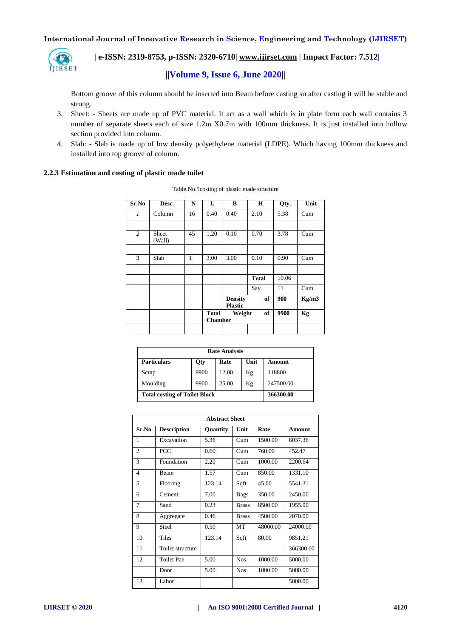

# **| e-ISSN: 2319-8753, p-ISSN: 2320-6710[| www.ijirset.com](http://www.ijirset.com/) | Impact Factor: 7.512|**

# **||Volume 9, Issue 6, June 2020||**

Bottom groove of this column should be inserted into Beam before casting so after casting it will be stable and strong.

- 3. Sheet: Sheets are made up of PVC material. It act as a wall which is in plate form each wall contains 3 number of separate sheets each of size 1.2m X0.7m with 100mm thickness. It is just installed into hollow section provided into column.
- 4. Slab: Slab is made up of low density polyethylene material (LDPE). Which having 100mm thickness and installed into top groove of column.

#### **2.2.3 Estimation and costing of plastic made toilet**

| Sr.No          | Desc.           | N  | L                                              | B                                | н            | Qty.  | Unit  |
|----------------|-----------------|----|------------------------------------------------|----------------------------------|--------------|-------|-------|
| 1              | Column          | 16 | 0.40                                           | 0.40                             | 2.10         | 5.38  | Cum   |
|                |                 |    |                                                |                                  |              |       |       |
| $\overline{c}$ | Sheet<br>(Wall) | 45 | 1.20                                           | 0.10                             | 0.70         | 3.78  | Cum   |
|                |                 |    |                                                |                                  |              |       |       |
| 3              | Slab            | 1  | 3.00                                           | 3.00                             | 0.10         | 0.90  | Cum   |
|                |                 |    |                                                |                                  |              |       |       |
|                |                 |    |                                                |                                  | <b>Total</b> | 10.06 |       |
|                |                 |    |                                                |                                  | Say          | 11    | Cum   |
|                |                 |    |                                                | <b>Density</b><br><b>Plastic</b> | of           | 900   | Kg/m3 |
|                |                 |    | of<br>Weight<br><b>Total</b><br><b>Chamber</b> |                                  |              | 9900  | Kg    |
|                |                 |    |                                                |                                  |              |       |       |

| <b>Rate Analysis</b>                 |           |       |      |           |  |  |  |  |
|--------------------------------------|-----------|-------|------|-----------|--|--|--|--|
| <b>Particulars</b>                   | Qty       | Rate  | Unit | Amount    |  |  |  |  |
| Scrap                                | 9900      | 12.00 | Kg   | 118800    |  |  |  |  |
| Moulding                             | 9900      | 25.00 | Kg   | 247500.00 |  |  |  |  |
| <b>Total costing of Toilet Block</b> | 366300.00 |       |      |           |  |  |  |  |

| <b>Abstract Sheet</b> |                    |          |              |          |               |  |  |  |
|-----------------------|--------------------|----------|--------------|----------|---------------|--|--|--|
| Sr.No                 | <b>Description</b> | Quantity | Unit         | Rate     | <b>Amount</b> |  |  |  |
| 1                     | Excavation         | 5.36     | Cum          | 1500.00  | 8037.36       |  |  |  |
| $\overline{2}$        | <b>PCC</b>         | 0.60     | Cum          | 760.00   | 452.47        |  |  |  |
| 3                     | Foundation         | 2.20     | Cum          | 1000.00  | 2200.64       |  |  |  |
| 4                     | Beam               | 1.57     | Cum          | 850.00   | 1331.10       |  |  |  |
| 5                     | Flooring           | 123.14   | Sqft         | 45.00    | 5541.31       |  |  |  |
| 6                     | Cement             | 7.00     | <b>Bags</b>  | 350.00   | 2450.00       |  |  |  |
| 7                     | Sand               | 0.23     | <b>Brass</b> | 8500.00  | 1955.00       |  |  |  |
| 8                     | Aggregate          | 0.46     | <b>Brass</b> | 4500.00  | 2070.00       |  |  |  |
| 9                     | Steel              | 0.50     | <b>MT</b>    | 48000.00 | 24000.00      |  |  |  |
| 10                    | Tiles              | 123.14   | Sqft         | 80.00    | 9851.21       |  |  |  |
| 11                    | Toilet structure   |          |              |          | 366300.00     |  |  |  |
| 12                    | <b>Toilet Pan</b>  | 5.00     | <b>Nos</b>   | 1000.00  | 5000.00       |  |  |  |
|                       | Door               | 5.00     | <b>Nos</b>   | 1000.00  | 5000.00       |  |  |  |
| 13                    | Labor              |          |              |          | 5000.00       |  |  |  |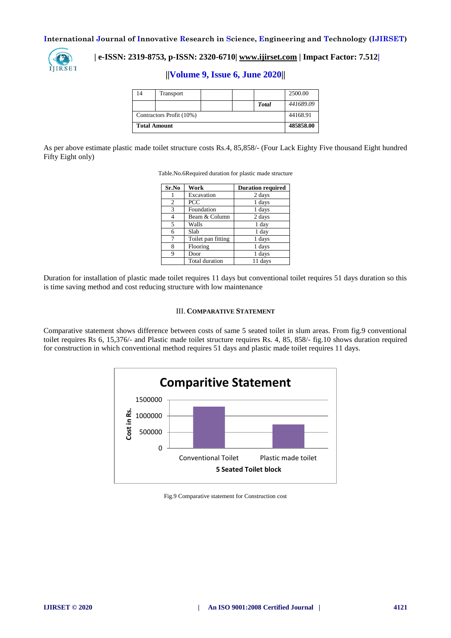

# **| e-ISSN: 2319-8753, p-ISSN: 2320-6710[| www.ijirset.com](http://www.ijirset.com/) | Impact Factor: 7.512|**

**||Volume 9, Issue 6, June 2020||** 

| 14                  | Transport                |  |  |              | 2500.00   |
|---------------------|--------------------------|--|--|--------------|-----------|
|                     |                          |  |  | <b>Total</b> | 441689.09 |
|                     | Contractors Profit (10%) |  |  |              |           |
| <b>Total Amount</b> |                          |  |  |              | 485858.00 |

As per above estimate plastic made toilet structure costs Rs.4, 85,858/- (Four Lack Eighty Five thousand Eight hundred Fifty Eight only)

| Sr.No | Work               | <b>Duration required</b> |
|-------|--------------------|--------------------------|
|       | Excavation         | 2 days                   |
| 2     | PCC                | 1 days                   |
| 3     | Foundation         | 1 days                   |
| 4     | Beam & Column      | 2 days                   |
| 5     | Walls              | 1 day                    |
| 6     | Slab               | 1 day                    |
| 7     | Toilet pan fitting | 1 days                   |
| 8     | Flooring           | 1 days                   |
| 9     | Door               | 1 days                   |
|       | Total duration     | 11 days                  |

Table.No.6Required duration for plastic made structure

Duration for installation of plastic made toilet requires 11 days but conventional toilet requires 51 days duration so this is time saving method and cost reducing structure with low maintenance

#### III. **COMPARATIVE STATEMENT**

Comparative statement shows difference between costs of same 5 seated toilet in slum areas. From fig.9 conventional toilet requires Rs 6, 15,376/- and Plastic made toilet structure requires Rs. 4, 85, 858/- fig.10 shows duration required for construction in which conventional method requires 51 days and plastic made toilet requires 11 days.



Fig.9 Comparative statement for Construction cost